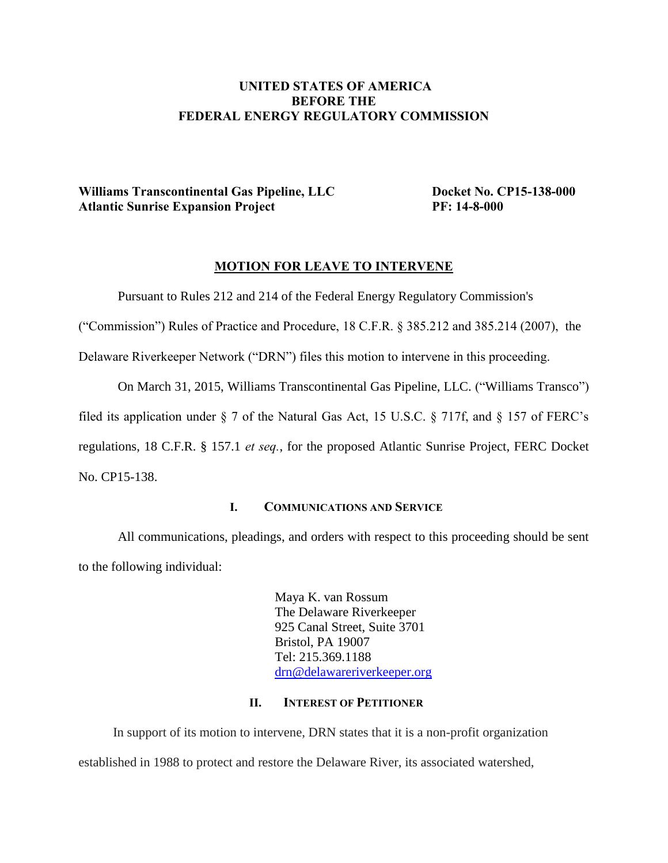# **UNITED STATES OF AMERICA BEFORE THE FEDERAL ENERGY REGULATORY COMMISSION**

# **Williams Transcontinental Gas Pipeline, LLC** Docket No. CP15-138-000 **Atlantic Sunrise Expansion Project PF: 14-8-000**

## **MOTION FOR LEAVE TO INTERVENE**

Pursuant to Rules 212 and 214 of the Federal Energy Regulatory Commission's

("Commission") Rules of Practice and Procedure, 18 C.F.R. § 385.212 and 385.214 (2007), the

Delaware Riverkeeper Network ("DRN") files this motion to intervene in this proceeding.

On March 31, 2015, Williams Transcontinental Gas Pipeline, LLC. ("Williams Transco")

filed its application under § 7 of the Natural Gas Act, 15 U.S.C. § 717f, and § 157 of FERC's

regulations, 18 C.F.R. § 157.1 *et seq.*, for the proposed Atlantic Sunrise Project, FERC Docket No. CP15-138.

### **I. COMMUNICATIONS AND SERVICE**

All communications, pleadings, and orders with respect to this proceeding should be sent to the following individual:

> Maya K. van Rossum The Delaware Riverkeeper 925 Canal Street, Suite 3701 Bristol, PA 19007 Tel: 215.369.1188 [drn@delawareriverkeeper.org](mailto:drn@delawareriverkeeper.org)

#### **II. INTEREST OF PETITIONER**

In support of its motion to intervene, DRN states that it is a non-profit organization established in 1988 to protect and restore the Delaware River, its associated watershed,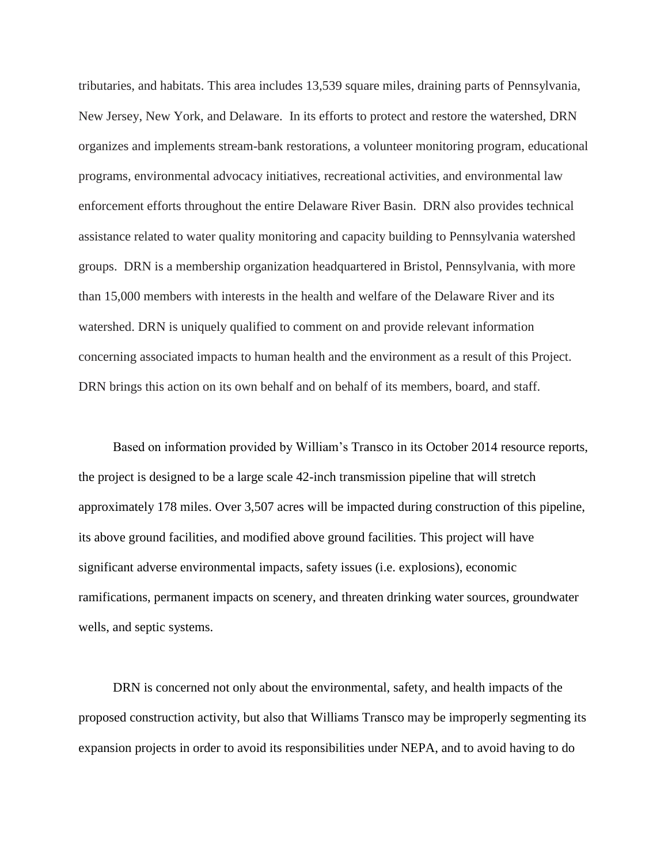tributaries, and habitats. This area includes 13,539 square miles, draining parts of Pennsylvania, New Jersey, New York, and Delaware. In its efforts to protect and restore the watershed, DRN organizes and implements stream-bank restorations, a volunteer monitoring program, educational programs, environmental advocacy initiatives, recreational activities, and environmental law enforcement efforts throughout the entire Delaware River Basin. DRN also provides technical assistance related to water quality monitoring and capacity building to Pennsylvania watershed groups. DRN is a membership organization headquartered in Bristol, Pennsylvania, with more than 15,000 members with interests in the health and welfare of the Delaware River and its watershed. DRN is uniquely qualified to comment on and provide relevant information concerning associated impacts to human health and the environment as a result of this Project. DRN brings this action on its own behalf and on behalf of its members, board, and staff.

Based on information provided by William's Transco in its October 2014 resource reports, the project is designed to be a large scale 42-inch transmission pipeline that will stretch approximately 178 miles. Over 3,507 acres will be impacted during construction of this pipeline, its above ground facilities, and modified above ground facilities. This project will have significant adverse environmental impacts, safety issues (i.e. explosions), economic ramifications, permanent impacts on scenery, and threaten drinking water sources, groundwater wells, and septic systems.

DRN is concerned not only about the environmental, safety, and health impacts of the proposed construction activity, but also that Williams Transco may be improperly segmenting its expansion projects in order to avoid its responsibilities under NEPA, and to avoid having to do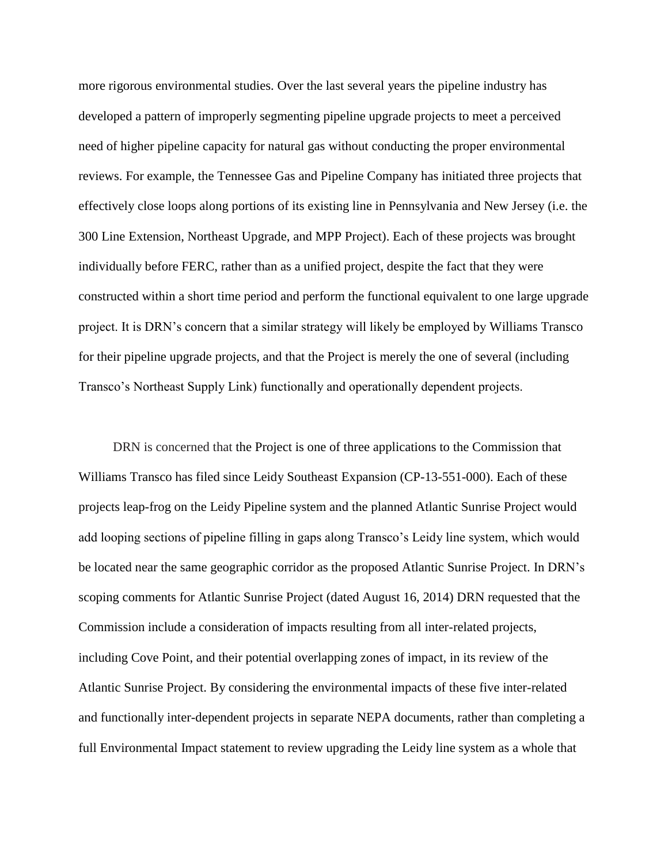more rigorous environmental studies. Over the last several years the pipeline industry has developed a pattern of improperly segmenting pipeline upgrade projects to meet a perceived need of higher pipeline capacity for natural gas without conducting the proper environmental reviews. For example, the Tennessee Gas and Pipeline Company has initiated three projects that effectively close loops along portions of its existing line in Pennsylvania and New Jersey (i.e. the 300 Line Extension, Northeast Upgrade, and MPP Project). Each of these projects was brought individually before FERC, rather than as a unified project, despite the fact that they were constructed within a short time period and perform the functional equivalent to one large upgrade project. It is DRN's concern that a similar strategy will likely be employed by Williams Transco for their pipeline upgrade projects, and that the Project is merely the one of several (including Transco's Northeast Supply Link) functionally and operationally dependent projects.

DRN is concerned that the Project is one of three applications to the Commission that Williams Transco has filed since Leidy Southeast Expansion (CP-13-551-000). Each of these projects leap-frog on the Leidy Pipeline system and the planned Atlantic Sunrise Project would add looping sections of pipeline filling in gaps along Transco's Leidy line system, which would be located near the same geographic corridor as the proposed Atlantic Sunrise Project. In DRN's scoping comments for Atlantic Sunrise Project (dated August 16, 2014) DRN requested that the Commission include a consideration of impacts resulting from all inter-related projects, including Cove Point, and their potential overlapping zones of impact, in its review of the Atlantic Sunrise Project. By considering the environmental impacts of these five inter-related and functionally inter-dependent projects in separate NEPA documents, rather than completing a full Environmental Impact statement to review upgrading the Leidy line system as a whole that